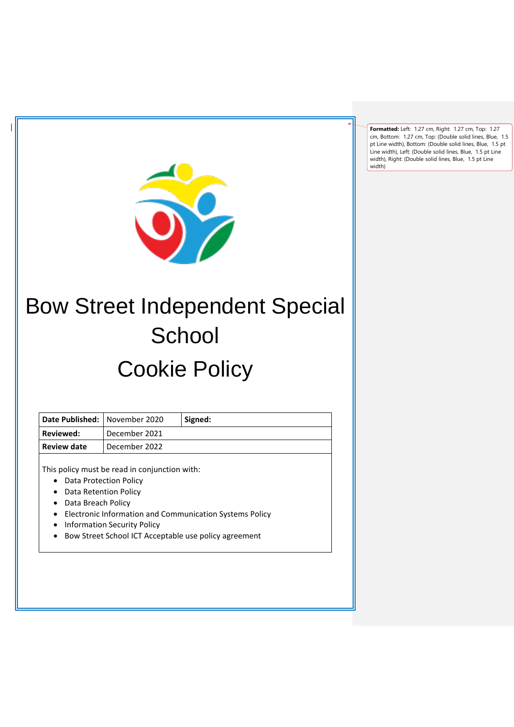**Formatted:** Left: 1.27 cm, Right: 1.27 cm, Top: 1.27 cm, Bottom: 1.27 cm, Top: (Double solid lines, Blue, 1.5 pt Line width), Bottom: (Double solid lines, Blue, 1.5 pt Line width), Left: (Double solid lines, Blue, 1.5 pt Line width), Right: (Double solid lines, Blue, 1.5 pt Line width)



# Bow Street Independent Special **School** Cookie Policy

| Date Published:   November 2020 |               | Signed: |
|---------------------------------|---------------|---------|
| Reviewed:                       | December 2021 |         |
| Review date                     | December 2022 |         |

This policy must be read in conjunction with:

- Data Protection Policy
- Data Retention Policy
- Data Breach Policy
- Electronic Information and Communication Systems Policy
- Information Security Policy
- Bow Street School ICT Acceptable use policy agreement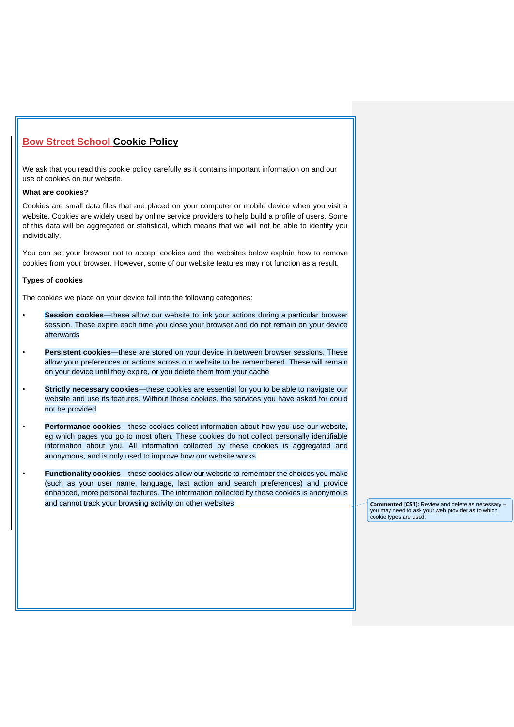# **Bow Street School Cookie Policy**

We ask that you read this cookie policy carefully as it contains important information on and our use of cookies on our website.

### **What are cookies?**

Cookies are small data files that are placed on your computer or mobile device when you visit a website. Cookies are widely used by online service providers to help build a profile of users. Some of this data will be aggregated or statistical, which means that we will not be able to identify you individually.

You can set your browser not to accept cookies and the websites below explain how to remove cookies from your browser. However, some of our website features may not function as a result.

#### **Types of cookies**

The cookies we place on your device fall into the following categories:

- **Session cookies**—these allow our website to link your actions during a particular browser session. These expire each time you close your browser and do not remain on your device afterwards
- **Persistent cookies**—these are stored on your device in between browser sessions. These allow your preferences or actions across our website to be remembered. These will remain on your device until they expire, or you delete them from your cache
- **Strictly necessary cookies**—these cookies are essential for you to be able to navigate our website and use its features. Without these cookies, the services you have asked for could not be provided
- **Performance cookies**—these cookies collect information about how you use our website, eg which pages you go to most often. These cookies do not collect personally identifiable information about you. All information collected by these cookies is aggregated and anonymous, and is only used to improve how our website works
- **Functionality cookies**—these cookies allow our website to remember the choices you make (such as your user name, language, last action and search preferences) and provide enhanced, more personal features. The information collected by these cookies is anonymous and cannot track your browsing activity on other websites **COMMAN COMMENT COMMENT COMMENT COMMENT CONTACT CONTACT**

you may need to ask your web provider as to which cookie types are used.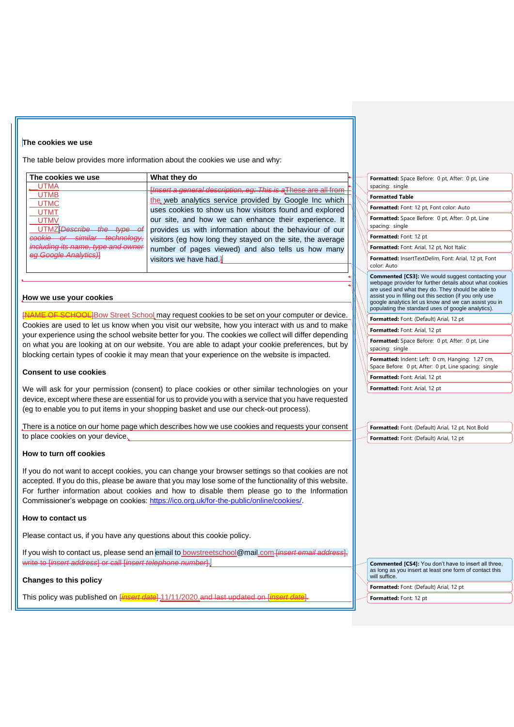#### **The cookies we use**

The table below provides more information about the cookies we use and why:

| The cookies we use                 | What they do                                                   |  | Form   |
|------------------------------------|----------------------------------------------------------------|--|--------|
| <b>UTMA</b>                        | Hnsert a general description, eg: This is a These are all from |  | spaci  |
| <b>UTMB</b>                        | the web analytics service provided by Google Inc which         |  | Form   |
| <b>UTMC</b><br><b>UTMT</b>         | uses cookies to show us how visitors found and explored        |  | Form   |
| <b>UTMV</b>                        | our site, and how we can enhance their experience. It          |  | Form   |
| UTMZ <del>IDescribe</del>          | provides us with information about the behaviour of our        |  | spaci  |
| similar technology,<br>cookie or   | visitors (eg how long they stayed on the site, the average     |  | Form   |
| including its name, type and owner | number of pages viewed) and also tells us how many             |  | Form   |
| eg Google Analytics)]              | visitors we have had.                                          |  | Form   |
|                                    |                                                                |  | color: |

#### **How we use your cookies**

NAME OF SCHOOL]Bow Street School may request cookies to be set on your computer or device. Cookies are used to let us know when you visit our website, how you interact with us and to make your experience using the school website better for you. The cookies we collect will differ depending on what you are looking at on our website. You are able to adapt your cookie preferences, but by blocking certain types of cookie it may mean that your experience on the website is impacted.

#### **Consent to use cookies**

We will ask for your permission (consent) to place cookies or other similar technologies on your device, except where these are essential for us to provide you with a service that you have requested (eg to enable you to put items in your shopping basket and use our check-out process).

There is a notice on our home page which describes how we use cookies and requests your consent to place cookies on your device.

#### **How to turn off cookies**

If you do not want to accept cookies, you can change your browser settings so that cookies are not accepted. If you do this, please be aware that you may lose some of the functionality of this website. For further information about cookies and how to disable them please go to the Information Commissioner's webpage on cookies: https://ico.org.uk/for-the-public/online/cookies/.

#### **How to contact us**

Please contact us, if you have any questions about this cookie policy.

If you wish to contact us, please send an email to bowstreetschool@mail.com *[insert email address*], write to [*insert address*] or call [*insert telephone number*].

## **Changes to this policy**

This policy was published on [*insert date*] 11/11/2020.and last updated on [*insert date*].

atted: Space Before: 0 pt, After: 0 pt, Line ng: single

**Formatted Table**

atted: Font: 12 pt, Font color: Auto

**Formatted:** Space Before: 0 pt, After: 0 pt, Line ng: single

**Formatted:** Font: 12 pt

**Formatted:** Font: Arial, 12 pt, Not Italic

**Formatted:** InsertTextDelim, Font: Arial, 12 pt, Font Auto

**Commented [CS3]:** We would suggest contacting your webpage provider for further details about what cookies are used and what they do. They should be able to assist you in filling out this section (if you only use google analytics let us know and we can assist you in populating the standard uses of google analytics).

**Formatted:** Font: (Default) Arial, 12 pt

**Formatted:** Font: Arial, 12 pt

**Formatted:** Space Before: 0 pt, After: 0 pt, Line spacing: single

**Formatted:** Indent: Left: 0 cm, Hanging: 1.27 cm,

Space Before: 0 pt, After: 0 pt, Line spacing: single **Formatted:** Font: Arial, 12 pt

**Formatted:** Font: Arial, 12 pt

**Formatted:** Font: (Default) Arial, 12 pt, Not Bold **Formatted:** Font: (Default) Arial, 12 pt

**Commented [CS4]:** You don't have to insert all three, as long as you insert at least one form of contact this will suffice

**Formatted:** Font: (Default) Arial, 12 pt

**Formatted:** Font: 12 pt